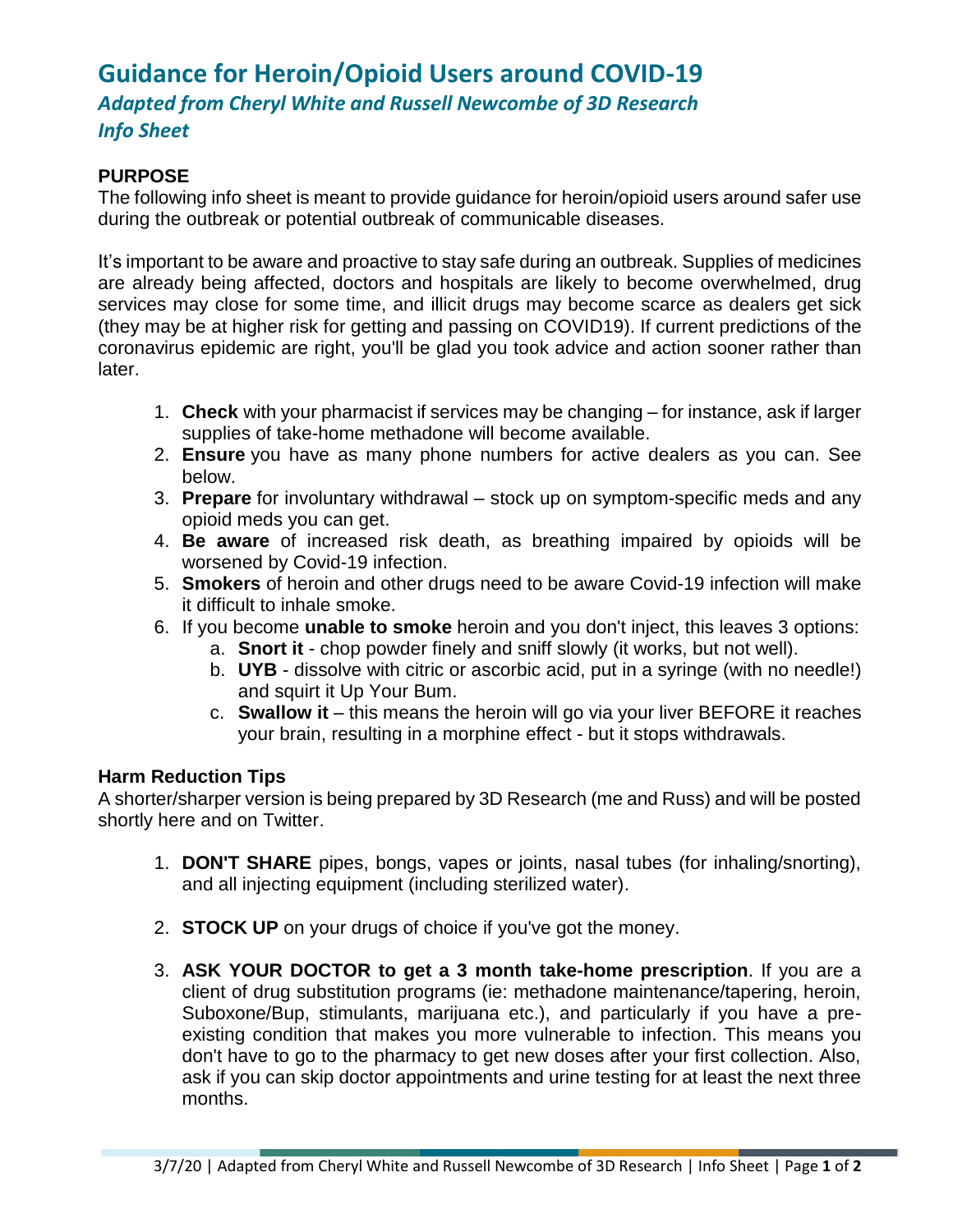## **Guidance for Heroin/Opioid Users around COVID-19** *Adapted from Cheryl White and Russell Newcombe of 3D Research Info Sheet*

## **PURPOSE**

The following info sheet is meant to provide guidance for heroin/opioid users around safer use during the outbreak or potential outbreak of communicable diseases.

It's important to be aware and proactive to stay safe during an outbreak. Supplies of medicines are already being affected, doctors and hospitals are likely to become overwhelmed, drug services may close for some time, and illicit drugs may become scarce as dealers get sick (they may be at higher risk for getting and passing on COVID19). If current predictions of the coronavirus epidemic are right, you'll be glad you took advice and action sooner rather than later.

- 1. **Check** with your pharmacist if services may be changing for instance, ask if larger supplies of take-home methadone will become available.
- 2. **Ensure** you have as many phone numbers for active dealers as you can. See below.
- 3. **Prepare** for involuntary withdrawal stock up on symptom-specific meds and any opioid meds you can get.
- 4. **Be aware** of increased risk death, as breathing impaired by opioids will be worsened by Covid-19 infection.
- 5. **Smokers** of heroin and other drugs need to be aware Covid-19 infection will make it difficult to inhale smoke.
- 6. If you become **unable to smoke** heroin and you don't inject, this leaves 3 options:
	- a. **Snort it** chop powder finely and sniff slowly (it works, but not well).
	- b. **UYB** dissolve with citric or ascorbic acid, put in a syringe (with no needle!) and squirt it Up Your Bum.
	- c. **Swallow it** this means the heroin will go via your liver BEFORE it reaches your brain, resulting in a morphine effect - but it stops withdrawals.

## **Harm Reduction Tips**

A shorter/sharper version is being prepared by 3D Research (me and Russ) and will be posted shortly here and on Twitter.

- 1. **DON'T SHARE** pipes, bongs, vapes or joints, nasal tubes (for inhaling/snorting), and all injecting equipment (including sterilized water).
- 2. **STOCK UP** on your drugs of choice if you've got the money.
- 3. **ASK YOUR DOCTOR to get a 3 month take-home prescription**. If you are a client of drug substitution programs (ie: methadone maintenance/tapering, heroin, Suboxone/Bup, stimulants, marijuana etc.), and particularly if you have a preexisting condition that makes you more vulnerable to infection. This means you don't have to go to the pharmacy to get new doses after your first collection. Also, ask if you can skip doctor appointments and urine testing for at least the next three months.